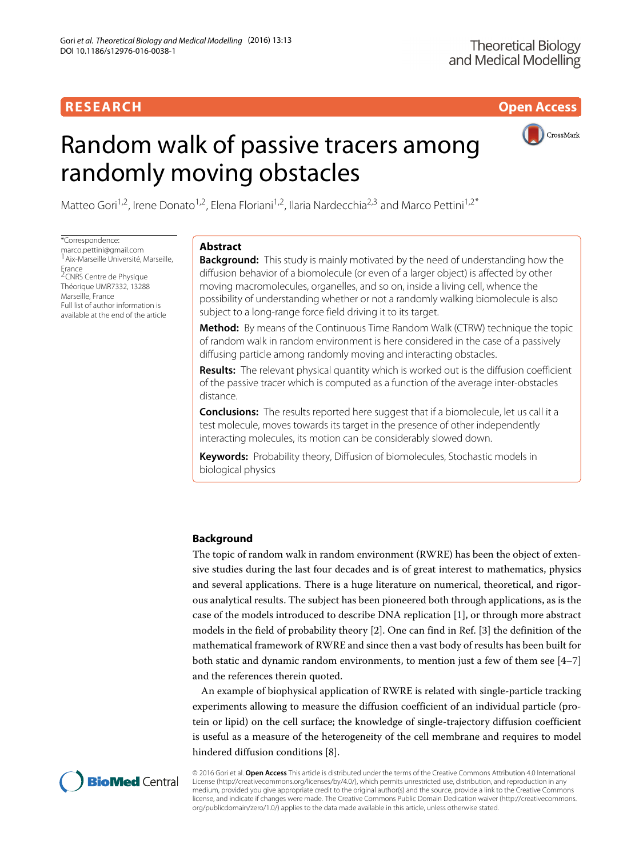**RESEARCH Open Access**

# Random walk of passive tracers among randomly moving obstacles



Matteo Gori<sup>1,2</sup>, Irene Donato<sup>1,2</sup>, Elena Floriani<sup>1,2</sup>, Ilaria Nardecchia<sup>2,3</sup> and Marco Pettini<sup>1,2\*</sup>

\*Correspondence: [marco.pettini@gmail.com](mailto: marco.pettini@gmail.com) <sup>1</sup> Aix-Marseille Université, Marseille, Erance<br><sup>2</sup>CNRS Centre de Physique Théorique UMR7332, 13288 Marseille, France Full list of author information is available at the end of the article

# **Abstract**

**Background:** This study is mainly motivated by the need of understanding how the diffusion behavior of a biomolecule (or even of a larger object) is affected by other moving macromolecules, organelles, and so on, inside a living cell, whence the possibility of understanding whether or not a randomly walking biomolecule is also subject to a long-range force field driving it to its target.

**Method:** By means of the Continuous Time Random Walk (CTRW) technique the topic of random walk in random environment is here considered in the case of a passively diffusing particle among randomly moving and interacting obstacles.

**Results:** The relevant physical quantity which is worked out is the diffusion coefficient of the passive tracer which is computed as a function of the average inter-obstacles distance.

**Conclusions:** The results reported here suggest that if a biomolecule, let us call it a test molecule, moves towards its target in the presence of other independently interacting molecules, its motion can be considerably slowed down.

**Keywords:** Probability theory, Diffusion of biomolecules, Stochastic models in biological physics

# **Background**

The topic of random walk in random environment (RWRE) has been the object of extensive studies during the last four decades and is of great interest to mathematics, physics and several applications. There is a huge literature on numerical, theoretical, and rigorous analytical results. The subject has been pioneered both through applications, as is the case of the models introduced to describe DNA replication [\[1\]](#page-18-0), or through more abstract models in the field of probability theory [\[2\]](#page-18-1). One can find in Ref. [\[3\]](#page-18-2) the definition of the mathematical framework of RWRE and since then a vast body of results has been built for both static and dynamic random environments, to mention just a few of them see [\[4](#page-18-3)[–7\]](#page-18-4) and the references therein quoted.

An example of biophysical application of RWRE is related with single-particle tracking experiments allowing to measure the diffusion coefficient of an individual particle (protein or lipid) on the cell surface; the knowledge of single-trajectory diffusion coefficient is useful as a measure of the heterogeneity of the cell membrane and requires to model hindered diffusion conditions [\[8\]](#page-18-5).



© 2016 Gori et al. **Open Access** This article is distributed under the terms of the Creative Commons Attribution 4.0 International License [\(http://creativecommons.org/licenses/by/4.0/\)](http://creativecommons.org/licenses/by/4.0/), which permits unrestricted use, distribution, and reproduction in any medium, provided you give appropriate credit to the original author(s) and the source, provide a link to the Creative Commons license, and indicate if changes were made. The Creative Commons Public Domain Dedication waiver [\(http://creativecommons.](http://creativecommons.org/publicdomain/zero/1.0/) [org/publicdomain/zero/1.0/\)](http://creativecommons.org/publicdomain/zero/1.0/) applies to the data made available in this article, unless otherwise stated.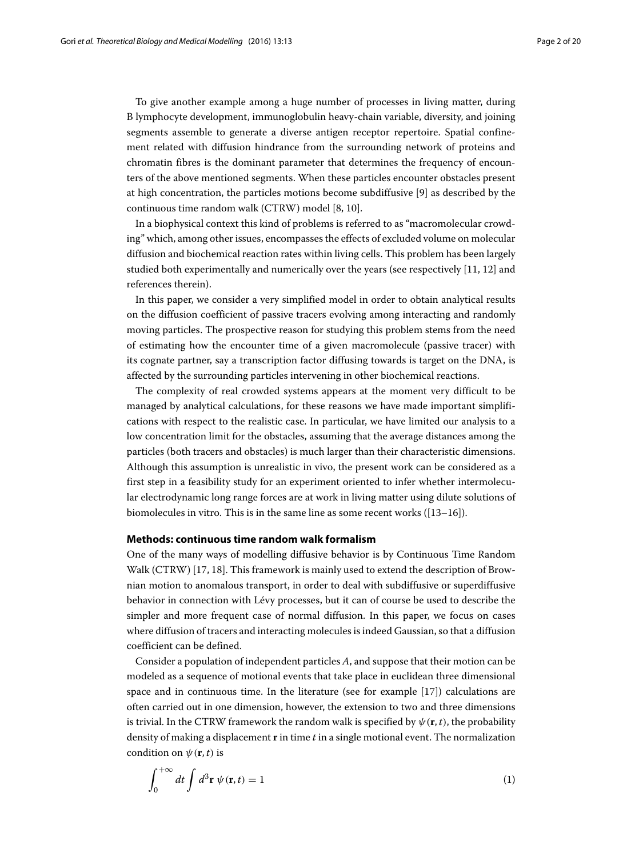To give another example among a huge number of processes in living matter, during B lymphocyte development, immunoglobulin heavy-chain variable, diversity, and joining segments assemble to generate a diverse antigen receptor repertoire. Spatial confinement related with diffusion hindrance from the surrounding network of proteins and chromatin fibres is the dominant parameter that determines the frequency of encounters of the above mentioned segments. When these particles encounter obstacles present at high concentration, the particles motions become subdiffusive [\[9\]](#page-18-6) as described by the continuous time random walk (CTRW) model [\[8,](#page-18-5) [10\]](#page-18-7).

In a biophysical context this kind of problems is referred to as "macromolecular crowding" which, among other issues, encompasses the effects of excluded volume on molecular diffusion and biochemical reaction rates within living cells. This problem has been largely studied both experimentally and numerically over the years (see respectively [\[11,](#page-18-8) [12\]](#page-18-9) and references therein).

In this paper, we consider a very simplified model in order to obtain analytical results on the diffusion coefficient of passive tracers evolving among interacting and randomly moving particles. The prospective reason for studying this problem stems from the need of estimating how the encounter time of a given macromolecule (passive tracer) with its cognate partner, say a transcription factor diffusing towards is target on the DNA, is affected by the surrounding particles intervening in other biochemical reactions.

The complexity of real crowded systems appears at the moment very difficult to be managed by analytical calculations, for these reasons we have made important simplifications with respect to the realistic case. In particular, we have limited our analysis to a low concentration limit for the obstacles, assuming that the average distances among the particles (both tracers and obstacles) is much larger than their characteristic dimensions. Although this assumption is unrealistic in vivo, the present work can be considered as a first step in a feasibility study for an experiment oriented to infer whether intermolecular electrodynamic long range forces are at work in living matter using dilute solutions of biomolecules in vitro. This is in the same line as some recent works ([\[13–](#page-19-0)[16\]](#page-19-1)).

# <span id="page-1-1"></span>**Methods: continuous time random walk formalism**

<span id="page-1-0"></span>One of the many ways of modelling diffusive behavior is by Continuous Time Random Walk (CTRW) [\[17,](#page-19-2) [18\]](#page-19-3). This framework is mainly used to extend the description of Brownian motion to anomalous transport, in order to deal with subdiffusive or superdiffusive behavior in connection with Lévy processes, but it can of course be used to describe the simpler and more frequent case of normal diffusion. In this paper, we focus on cases where diffusion of tracers and interacting molecules is indeed Gaussian, so that a diffusion coefficient can be defined.

Consider a population of independent particles *A*, and suppose that their motion can be modeled as a sequence of motional events that take place in euclidean three dimensional space and in continuous time. In the literature (see for example [\[17\]](#page-19-2)) calculations are often carried out in one dimension, however, the extension to two and three dimensions is trivial. In the CTRW framework the random walk is specified by  $\psi(\mathbf{r}, t)$ , the probability density of making a displacement **r** in time *t* in a single motional event. The normalization condition on  $\psi(\mathbf{r}, t)$  is

$$
\int_0^{+\infty} dt \int d^3 \mathbf{r} \, \psi(\mathbf{r}, t) = 1 \tag{1}
$$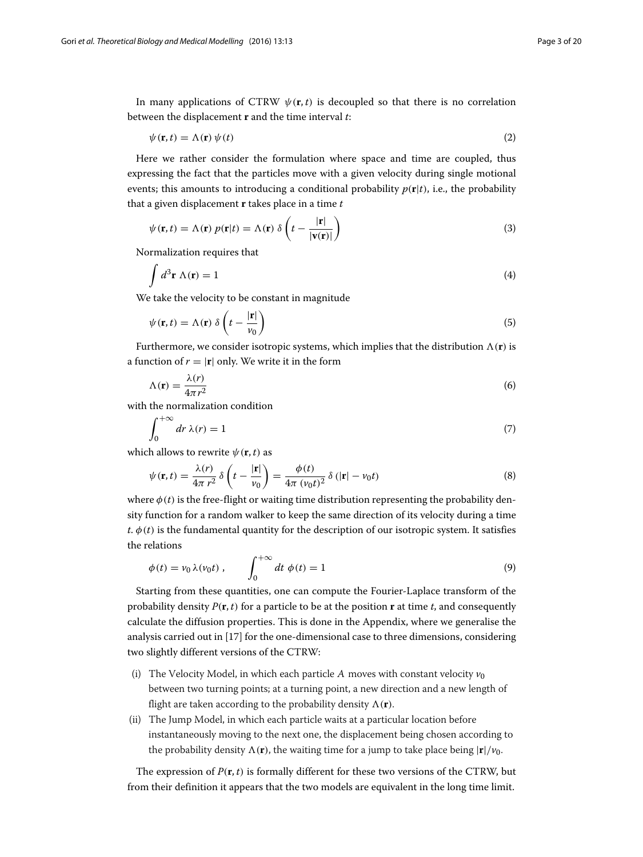In many applications of CTRW  $\psi(\mathbf{r}, t)$  is decoupled so that there is no correlation between the displacement **r** and the time interval *t*:

<span id="page-2-3"></span>
$$
\psi(\mathbf{r},t) = \Lambda(\mathbf{r}) \psi(t) \tag{2}
$$

Here we rather consider the formulation where space and time are coupled, thus expressing the fact that the particles move with a given velocity during single motional events; this amounts to introducing a conditional probability  $p(\mathbf{r}|t)$ , i.e., the probability that a given displacement **r** takes place in a time *t*

<span id="page-2-0"></span>
$$
\psi(\mathbf{r},t) = \Lambda(\mathbf{r}) p(\mathbf{r}|t) = \Lambda(\mathbf{r}) \delta\left(t - \frac{|\mathbf{r}|}{|\mathbf{v}(\mathbf{r})|}\right)
$$
\n(3)

Normalization requires that

$$
\int d^3 \mathbf{r} \wedge (\mathbf{r}) = 1 \tag{4}
$$

We take the velocity to be constant in magnitude

$$
\psi(\mathbf{r},t) = \Lambda(\mathbf{r}) \delta\left(t - \frac{|\mathbf{r}|}{v_0}\right) \tag{5}
$$

Furthermore, we consider isotropic systems, which implies that the distribution  $\Lambda(\mathbf{r})$  is a function of  $r = |\mathbf{r}|$  only. We write it in the form

$$
\Lambda(\mathbf{r}) = \frac{\lambda(r)}{4\pi r^2} \tag{6}
$$

with the normalization condition

$$
\int_0^{+\infty} dr \,\lambda(r) = 1\tag{7}
$$

which allows to rewrite  $\psi(\mathbf{r}, t)$  as

<span id="page-2-1"></span>
$$
\psi(\mathbf{r},t) = \frac{\lambda(r)}{4\pi r^2} \delta\left(t - \frac{|\mathbf{r}|}{v_0}\right) = \frac{\phi(t)}{4\pi (v_0 t)^2} \delta\left(|\mathbf{r}| - v_0 t\right)
$$
\n(8)

where  $\phi(t)$  is the free-flight or waiting time distribution representing the probability density function for a random walker to keep the same direction of its velocity during a time  $t, \phi(t)$  is the fundamental quantity for the description of our isotropic system. It satisfies the relations

<span id="page-2-2"></span>
$$
\phi(t) = v_0 \lambda(v_0 t) , \qquad \int_0^{+\infty} dt \, \phi(t) = 1 \tag{9}
$$

Starting from these quantities, one can compute the Fourier-Laplace transform of the probability density  $P(\mathbf{r}, t)$  for a particle to be at the position **r** at time *t*, and consequently calculate the diffusion properties. This is done in the [Appendix,](#page-15-0) where we generalise the analysis carried out in [\[17\]](#page-19-2) for the one-dimensional case to three dimensions, considering two slightly different versions of the CTRW:

- (i) The Velocity Model, in which each particle A moves with constant velocity  $v_0$ between two turning points; at a turning point, a new direction and a new length of flight are taken according to the probability density  $\Lambda(\mathbf{r})$ .
- (ii) The Jump Model, in which each particle waits at a particular location before instantaneously moving to the next one, the displacement being chosen according to the probability density  $\Lambda(\mathbf{r})$ , the waiting time for a jump to take place being  $|\mathbf{r}|/v_0$ .

The expression of  $P(\mathbf{r}, t)$  is formally different for these two versions of the CTRW, but from their definition it appears that the two models are equivalent in the long time limit.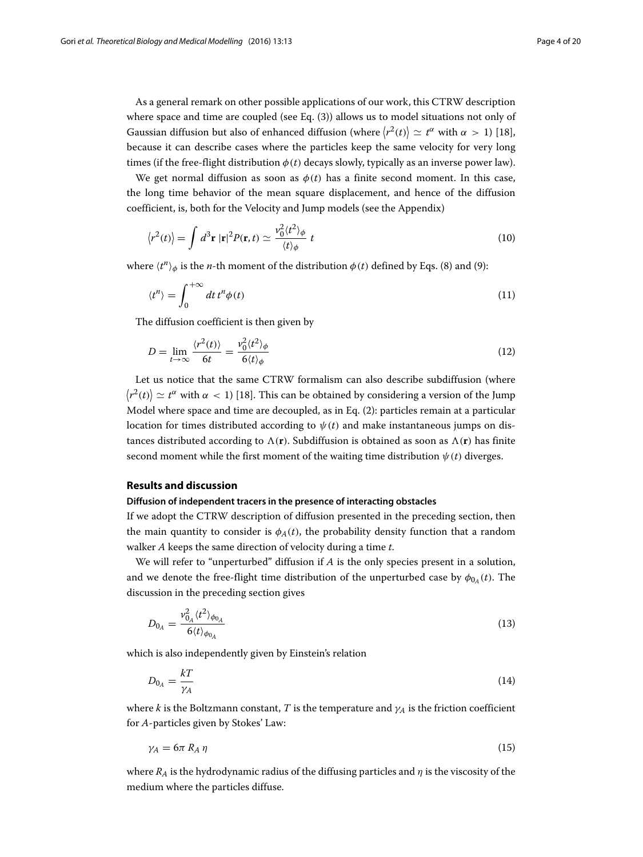As a general remark on other possible applications of our work, this CTRW description where space and time are coupled (see Eq. [\(3\)](#page-2-0)) allows us to model situations not only of Gaussian diffusion but also of enhanced diffusion (where  $\langle r^2(t) \rangle \simeq t^{\alpha}$  with  $\alpha > 1$ ) [\[18\]](#page-19-3), because it can describe cases where the particles keep the same velocity for very long times (if the free-flight distribution  $\phi(t)$  decays slowly, typically as an inverse power law).

We get normal diffusion as soon as  $\phi(t)$  has a finite second moment. In this case, the long time behavior of the mean square displacement, and hence of the diffusion coefficient, is, both for the Velocity and Jump models (see the [Appendix\)](#page-15-0)

<span id="page-3-4"></span>
$$
\langle r^2(t) \rangle = \int d^3 \mathbf{r} \, |\mathbf{r}|^2 P(\mathbf{r}, t) \simeq \frac{v_0^2 \langle t^2 \rangle_{\phi}}{\langle t \rangle_{\phi}} \, t \tag{10}
$$

where  $\langle t^n \rangle_{\phi}$  is the *n*-th moment of the distribution  $\phi(t)$  defined by Eqs. [\(8\)](#page-2-1) and [\(9\)](#page-2-2):

$$
\langle t^n \rangle = \int_0^{+\infty} dt \, t^n \phi(t) \tag{11}
$$

The diffusion coefficient is then given by

<span id="page-3-2"></span>
$$
D = \lim_{t \to \infty} \frac{\langle r^2(t) \rangle}{6t} = \frac{v_0^2 \langle t^2 \rangle_{\phi}}{6 \langle t \rangle_{\phi}}
$$
(12)

Let us notice that the same CTRW formalism can also describe subdiffusion (where  $\left\langle r^{2}(t)\right\rangle\simeq t^{\alpha}$  with  $\alpha\,<\,1)$  [\[18\]](#page-19-3). This can be obtained by considering a version of the Jump Model where space and time are decoupled, as in Eq. [\(2\)](#page-2-3): particles remain at a particular location for times distributed according to  $\psi(t)$  and make instantaneous jumps on distances distributed according to  $\Lambda(\mathbf{r})$ . Subdiffusion is obtained as soon as  $\Lambda(\mathbf{r})$  has finite second moment while the first moment of the waiting time distribution  $\psi(t)$  diverges.

# **Results and discussion**

# **Diffusion of independent tracers in the presence of interacting obstacles**

If we adopt the CTRW description of diffusion presented in the preceding section, then the main quantity to consider is  $\phi_A(t)$ , the probability density function that a random walker *A* keeps the same direction of velocity during a time *t*.

We will refer to "unperturbed" diffusion if *A* is the only species present in a solution, and we denote the free-flight time distribution of the unperturbed case by  $\phi_{0_A}(t)$ . The discussion in the preceding section gives

<span id="page-3-0"></span>
$$
D_{0_A} = \frac{v_{0_A}^2 \langle t^2 \rangle_{\phi_{0_A}}}{6 \langle t \rangle_{\phi_{0_A}}} \tag{13}
$$

which is also independently given by Einstein's relation

<span id="page-3-1"></span>
$$
D_{0_A} = \frac{kT}{\gamma_A} \tag{14}
$$

where *k* is the Boltzmann constant, *T* is the temperature and  $\gamma_A$  is the friction coefficient for *A*-particles given by Stokes' Law:

<span id="page-3-3"></span>
$$
\gamma_A = 6\pi R_A \eta \tag{15}
$$

where  $R_A$  is the hydrodynamic radius of the diffusing particles and  $\eta$  is the viscosity of the medium where the particles diffuse.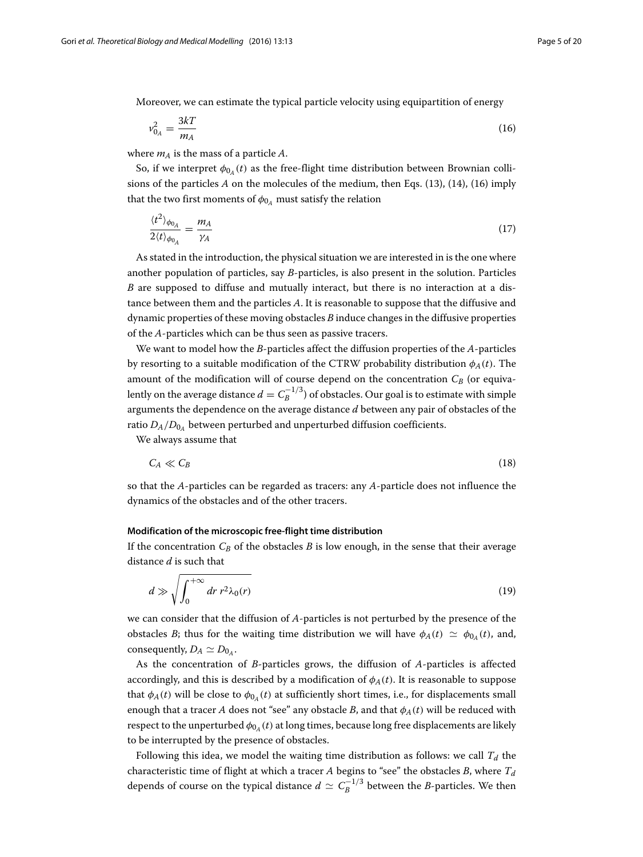Moreover, we can estimate the typical particle velocity using equipartition of energy

<span id="page-4-0"></span>
$$
v_{0_A}^2 = \frac{3kT}{m_A} \tag{16}
$$

where  $m_A$  is the mass of a particle  $A$ .

So, if we interpret  $\phi_{0}$ <sub>*A*</sub>(*t*) as the free-flight time distribution between Brownian collisions of the particles *A* on the molecules of the medium, then Eqs. [\(13\)](#page-3-0), [\(14\)](#page-3-1), [\(16\)](#page-4-0) imply that the two first moments of  $\phi_{0_A}$  must satisfy the relation

<span id="page-4-1"></span>
$$
\frac{\langle t^2 \rangle_{\phi_{0_A}}}{2 \langle t \rangle_{\phi_{0_A}}} = \frac{m_A}{\gamma_A} \tag{17}
$$

As stated in the introduction, the physical situation we are interested in is the one where another population of particles, say *B*-particles, is also present in the solution. Particles *B* are supposed to diffuse and mutually interact, but there is no interaction at a distance between them and the particles *A*. It is reasonable to suppose that the diffusive and dynamic properties of these moving obstacles *B* induce changes in the diffusive properties of the *A*-particles which can be thus seen as passive tracers.

We want to model how the *B*-particles affect the diffusion properties of the *A*-particles by resorting to a suitable modification of the CTRW probability distribution  $\phi_A(t)$ . The amount of the modification will of course depend on the concentration  $C_B$  (or equivalently on the average distance  $d = C_B^{-1/3}$ ) of obstacles. Our goal is to estimate with simple arguments the dependence on the average distance *d* between any pair of obstacles of the ratio  $D_A/D_{0_A}$  between perturbed and unperturbed diffusion coefficients.

We always assume that

$$
C_A \ll C_B \tag{18}
$$

so that the *A*-particles can be regarded as tracers: any *A*-particle does not influence the dynamics of the obstacles and of the other tracers.

#### <span id="page-4-2"></span>**Modification of the microscopic free-flight time distribution**

<span id="page-4-3"></span>If the concentration  $C_B$  of the obstacles  $B$  is low enough, in the sense that their average distance *d* is such that

$$
d \gg \sqrt{\int_0^{+\infty} dr \, r^2 \lambda_0(r)} \tag{19}
$$

we can consider that the diffusion of *A*-particles is not perturbed by the presence of the obstacles *B*; thus for the waiting time distribution we will have  $\phi_A(t) \simeq \phi_{0A}(t)$ , and, consequently,  $D_A \simeq D_{0_A}$ .

As the concentration of *B*-particles grows, the diffusion of *A*-particles is affected accordingly, and this is described by a modification of  $\phi_A(t)$ . It is reasonable to suppose that  $\phi_A(t)$  will be close to  $\phi_{0_A}(t)$  at sufficiently short times, i.e., for displacements small enough that a tracer *A* does not "see" any obstacle *B*, and that  $\phi_A(t)$  will be reduced with respect to the unperturbed  $\phi_{0A}(t)$  at long times, because long free displacements are likely to be interrupted by the presence of obstacles.

Following this idea, we model the waiting time distribution as follows: we call  $T_d$  the characteristic time of flight at which a tracer  $A$  begins to "see" the obstacles  $B$ , where  $T_d$ depends of course on the typical distance  $d \simeq C_B^{-1/3}$  between the *B*-particles. We then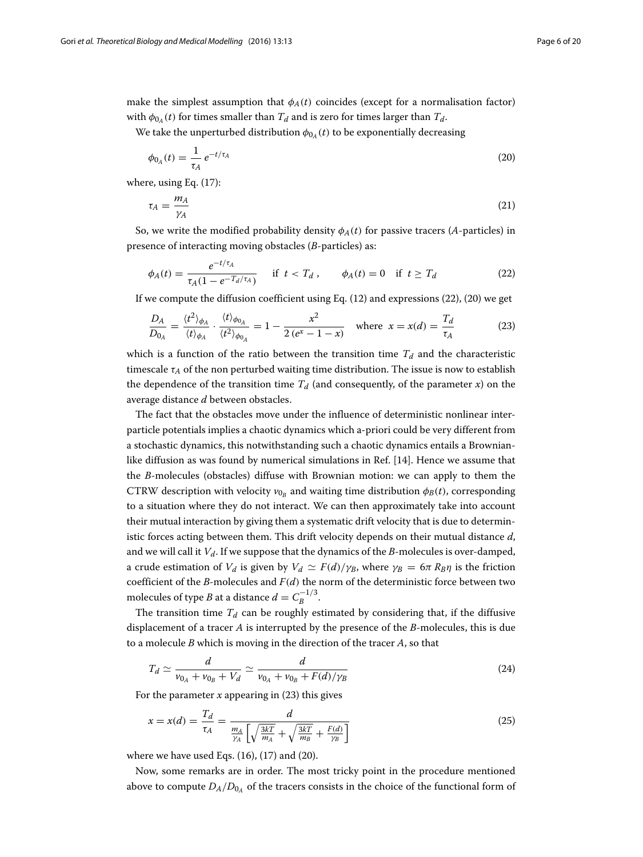make the simplest assumption that  $\phi_A(t)$  coincides (except for a normalisation factor) with  $\phi_{0_A}(t)$  for times smaller than  $T_d$  and is zero for times larger than  $T_d$ .

We take the unperturbed distribution  $\phi_{0_A}(t)$  to be exponentially decreasing

<span id="page-5-1"></span>
$$
\phi_{0_A}(t) = \frac{1}{\tau_A} e^{-t/\tau_A} \tag{20}
$$

where, using Eq. [\(17\)](#page-4-1):

<span id="page-5-5"></span>
$$
\tau_A = \frac{m_A}{\gamma_A} \tag{21}
$$

So, we write the modified probability density  $\phi_A(t)$  for passive tracers (*A*-particles) in presence of interacting moving obstacles (*B*-particles) as:

<span id="page-5-2"></span><span id="page-5-0"></span>
$$
\phi_A(t) = \frac{e^{-t/\tau_A}}{\tau_A(1 - e^{-T_d/\tau_A})} \quad \text{if } t < T_d \,, \qquad \phi_A(t) = 0 \quad \text{if } t \ge T_d \tag{22}
$$

If we compute the diffusion coefficient using Eq.  $(12)$  and expressions  $(22)$ ,  $(20)$  we get

$$
\frac{D_A}{D_{0_A}} = \frac{\langle t^2 \rangle_{\phi_A}}{\langle t \rangle_{\phi_A}} \cdot \frac{\langle t \rangle_{\phi_{0_A}}}{\langle t^2 \rangle_{\phi_{0_A}}} = 1 - \frac{x^2}{2(e^x - 1 - x)} \quad \text{where } x = x(d) = \frac{T_d}{\tau_A} \tag{23}
$$

which is a function of the ratio between the transition time  $T_d$  and the characteristic timescale  $\tau_A$  of the non perturbed waiting time distribution. The issue is now to establish the dependence of the transition time  $T_d$  (and consequently, of the parameter *x*) on the average distance *d* between obstacles.

The fact that the obstacles move under the influence of deterministic nonlinear interparticle potentials implies a chaotic dynamics which a-priori could be very different from a stochastic dynamics, this notwithstanding such a chaotic dynamics entails a Brownianlike diffusion as was found by numerical simulations in Ref. [\[14\]](#page-19-4). Hence we assume that the *B*-molecules (obstacles) diffuse with Brownian motion: we can apply to them the CTRW description with velocity  $v_{0B}$  and waiting time distribution  $\phi_B(t)$ , corresponding to a situation where they do not interact. We can then approximately take into account their mutual interaction by giving them a systematic drift velocity that is due to deterministic forces acting between them. This drift velocity depends on their mutual distance *d*, and we will call it  $V_d$ . If we suppose that the dynamics of the  $B$ -molecules is over-damped, a crude estimation of *V<sub>d</sub>* is given by *V<sub>d</sub>*  $\simeq$  *F(d)/γ<sub>B</sub>*, where  $\gamma_B = 6\pi R_B \eta$  is the friction coefficient of the *B*-molecules and *F*(*d*) the norm of the deterministic force between two molecules of type *B* at a distance  $d = C_B^{-1/3}$ .

The transition time  $T_d$  can be roughly estimated by considering that, if the diffusive displacement of a tracer *A* is interrupted by the presence of the *B*-molecules, this is due to a molecule *B* which is moving in the direction of the tracer *A*, so that

<span id="page-5-4"></span><span id="page-5-3"></span>
$$
T_d \simeq \frac{d}{v_{0_A} + v_{0_B} + V_d} \simeq \frac{d}{v_{0_A} + v_{0_B} + F(d)/\gamma_B}
$$
(24)

For the parameter  $x$  appearing in  $(23)$  this gives

$$
x = x(d) = \frac{T_d}{\tau_A} = \frac{d}{\frac{m_A}{\gamma_A} \left[ \sqrt{\frac{3kT}{m_A} + \sqrt{\frac{3kT}{m_B} + \frac{F(d)}{\gamma_B}} \right]}}
$$
(25)

where we have used Eqs.  $(16)$ ,  $(17)$  and  $(20)$ .

Now, some remarks are in order. The most tricky point in the procedure mentioned above to compute  $D_A/D_{0_A}$  of the tracers consists in the choice of the functional form of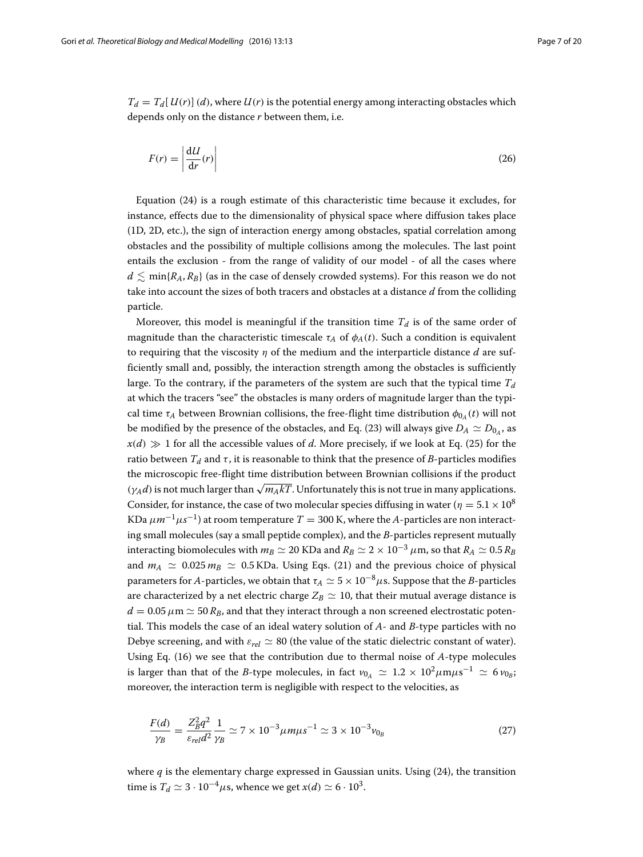$T_d = T_d [U(r)](d)$ , where  $U(r)$  is the potential energy among interacting obstacles which depends only on the distance *r* between them, i.e.

$$
F(r) = \left| \frac{\mathrm{d}U}{\mathrm{d}r}(r) \right| \tag{26}
$$

Equation [\(24\)](#page-5-3) is a rough estimate of this characteristic time because it excludes, for instance, effects due to the dimensionality of physical space where diffusion takes place (1D, 2D, etc.), the sign of interaction energy among obstacles, spatial correlation among obstacles and the possibility of multiple collisions among the molecules. The last point entails the exclusion - from the range of validity of our model - of all the cases where  $d \lesssim \min\{R_A, R_B\}$  (as in the case of densely crowded systems). For this reason we do not take into account the sizes of both tracers and obstacles at a distance *d* from the colliding particle.

Moreover, this model is meaningful if the transition time  $T_d$  is of the same order of magnitude than the characteristic timescale  $\tau_A$  of  $\phi_A(t)$ . Such a condition is equivalent to requiring that the viscosity  $\eta$  of the medium and the interparticle distance *d* are sufficiently small and, possibly, the interaction strength among the obstacles is sufficiently large. To the contrary, if the parameters of the system are such that the typical time  $T_d$ at which the tracers "see" the obstacles is many orders of magnitude larger than the typical time  $\tau_A$  between Brownian collisions, the free-flight time distribution  $\phi_{0_A}(t)$  will not be modified by the presence of the obstacles, and Eq. [\(23\)](#page-5-2) will always give  $D_A \simeq D_{0_A}$ , as  $x(d) \gg 1$  for all the accessible values of *d*. More precisely, if we look at Eq. [\(25\)](#page-5-4) for the ratio between  $T_d$  and  $\tau$ , it is reasonable to think that the presence of *B*-particles modifies the microscopic free-flight time distribution between Brownian collisions if the product  $(\gamma_A d)$  is not much larger than  $\sqrt{m_A kT}$ . Unfortunately this is not true in many applications. Consider, for instance, the case of two molecular species diffusing in water ( $\eta = 5.1 \times 10^8$ ) KDa  $\mu m^{-1} \mu s^{-1}$ ) at room temperature  $T = 300$  K, where the *A*-particles are non interacting small molecules (say a small peptide complex), and the *B*-particles represent mutually interacting biomolecules with  $m_B \simeq 20$  KDa and  $R_B \simeq 2 \times 10^{-3}$  µm, so that  $R_A \simeq 0.5$   $R_B$ and  $m_A \simeq 0.025$   $m_B \simeq 0.5$  KDa. Using Eqs. [\(21\)](#page-5-5) and the previous choice of physical parameters for *A*-particles, we obtain that  $\tau_A \simeq 5 \times 10^{-8} \mu$ s. Suppose that the *B*-particles are characterized by a net electric charge  $Z_B \simeq 10$ , that their mutual average distance is  $d = 0.05 \mu m \approx 50 R_B$ , and that they interact through a non screened electrostatic potential. This models the case of an ideal watery solution of *A*- and *B*-type particles with no Debye screening, and with  $\varepsilon_{rel} \simeq 80$  (the value of the static dielectric constant of water). Using Eq. [\(16\)](#page-4-0) we see that the contribution due to thermal noise of *A*-type molecules is larger than that of the *B*-type molecules, in fact  $v_{0A} \simeq 1.2 \times 10^2 \mu m \mu s^{-1} \simeq 6 v_{0B}$ ; moreover, the interaction term is negligible with respect to the velocities, as

$$
\frac{F(d)}{\gamma_B} = \frac{Z_B^2 q^2}{\varepsilon_{rel} d^2} \frac{1}{\gamma_B} \simeq 7 \times 10^{-3} \mu m \mu s^{-1} \simeq 3 \times 10^{-3} v_{0_B}
$$
 (27)

where *q* is the elementary charge expressed in Gaussian units. Using [\(24\)](#page-5-3), the transition time is  $T_d \simeq 3 \cdot 10^{-4} \mu s$ , whence we get  $x(d) \simeq 6 \cdot 10^3$ .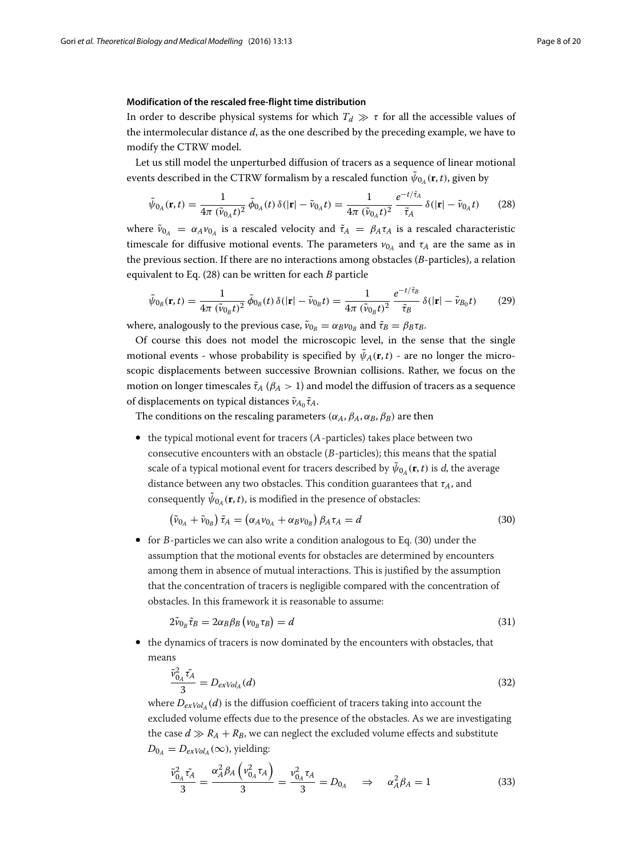# <span id="page-7-5"></span>**Modification of the rescaled free-flight time distribution**

<span id="page-7-4"></span>In order to describe physical systems for which  $T_d \gg \tau$  for all the accessible values of the intermolecular distance *d*, as the one described by the preceding example, we have to modify the CTRW model.

Let us still model the unperturbed diffusion of tracers as a sequence of linear motional events described in the CTRW formalism by a rescaled function  $\tilde{\psi}_{0_A}(\mathbf{r}, t)$ , given by

<span id="page-7-0"></span>
$$
\tilde{\psi}_{0_A}(\mathbf{r}, t) = \frac{1}{4\pi (\tilde{v}_{0_A}t)^2} \, \tilde{\phi}_{0_A}(t) \, \delta(|\mathbf{r}| - \tilde{v}_{0_A}t) = \frac{1}{4\pi (\tilde{v}_{0_A}t)^2} \, \frac{e^{-t/\tilde{\tau}_A}}{\tilde{\tau}_A} \, \delta(|\mathbf{r}| - \tilde{v}_{0_A}t) \tag{28}
$$

where  $\tilde{v}_{0_A} = \alpha_A v_{0_A}$  is a rescaled velocity and  $\tilde{\tau}_A = \beta_A \tau_A$  is a rescaled characteristic timescale for diffusive motional events. The parameters  $v_{0A}$  and  $\tau_A$  are the same as in the previous section. If there are no interactions among obstacles (*B*-particles), a relation equivalent to Eq. [\(28\)](#page-7-0) can be written for each *B* particle

$$
\tilde{\psi}_{0_B}(\mathbf{r}, t) = \frac{1}{4\pi \ (\tilde{v}_{0_B} t)^2} \ \tilde{\phi}_{0_B}(t) \ \delta(|\mathbf{r}| - \tilde{v}_{0_B} t) = \frac{1}{4\pi \ (\tilde{v}_{0_B} t)^2} \ \frac{e^{-t/\tilde{\tau}_B}}{\tilde{\tau}_B} \ \delta(|\mathbf{r}| - \tilde{v}_{B_0} t) \tag{29}
$$

where, analogously to the previous case,  $\tilde{\nu}_{0_B} = \alpha_B \nu_{0_B}$  and  $\tilde{\tau}_B = \beta_B \tau_B$ .

Of course this does not model the microscopic level, in the sense that the single motional events - whose probability is specified by  $\tilde{\psi}_A(\mathbf{r}, t)$  - are no longer the microscopic displacements between successive Brownian collisions. Rather, we focus on the motion on longer timescales  $\tilde{\tau}_A$  ( $\beta_A > 1$ ) and model the diffusion of tracers as a sequence of displacements on typical distances  $\tilde{v}_{A_0} \tilde{\tau}_A$ .

The conditions on the rescaling parameters ( $\alpha_A$ ,  $\beta_A$ ,  $\alpha_B$ ,  $\beta_B$ ) are then

• the typical motional event for tracers (A-particles) takes place between two consecutive encounters with an obstacle (B-particles); this means that the spatial scale of a typical motional event for tracers described by  $\tilde{\psi}_{0}$ <sub>*(***r**, *t*) is *d*, the average</sub> distance between any two obstacles. This condition guarantees that τ*A*, and consequently  $\tilde{\psi}_{0}$ <sub>4</sub> (**r**, *t*), is modified in the presence of obstacles:

<span id="page-7-1"></span>
$$
\left(\tilde{\nu}_{0_A} + \tilde{\nu}_{0_B}\right)\tilde{\tau}_A = \left(\alpha_A \nu_{0_A} + \alpha_B \nu_{0_B}\right)\beta_A \tau_A = d \tag{30}
$$

• for <sup>B</sup>-particles we can also write a condition analogous to Eq. [\(30\)](#page-7-1) under the assumption that the motional events for obstacles are determined by encounters among them in absence of mutual interactions. This is justified by the assumption that the concentration of tracers is negligible compared with the concentration of obstacles. In this framework it is reasonable to assume:

<span id="page-7-2"></span>
$$
2\tilde{\nu}_{0_B}\tilde{\tau}_B = 2\alpha_B\beta_B\left(\nu_{0_B}\tau_B\right) = d\tag{31}
$$

• the dynamics of tracers is now dominated by the encounters with obstacles, that means

$$
\frac{\tilde{\nu}_{0_A}^2 \tilde{\tau_A}}{3} = D_{ex} \nu_{ol_A}(d) \tag{32}
$$

where  $D_{exVol_4}(d)$  is the diffusion coefficient of tracers taking into account the excluded volume effects due to the presence of the obstacles. As we are investigating the case  $d \gg R_A + R_B$ , we can neglect the excluded volume effects and substitute  $D_{0_A} = D_{exVol_A}(\infty)$ , yielding:

<span id="page-7-3"></span>
$$
\frac{\tilde{v}_{0_A}^2 \tilde{\tau}_A}{3} = \frac{\alpha_A^2 \beta_A \left(v_{0_A}^2 \tau_A\right)}{3} = \frac{v_{0_A}^2 \tau_A}{3} = D_{0_A} \quad \Rightarrow \quad \alpha_A^2 \beta_A = 1 \tag{33}
$$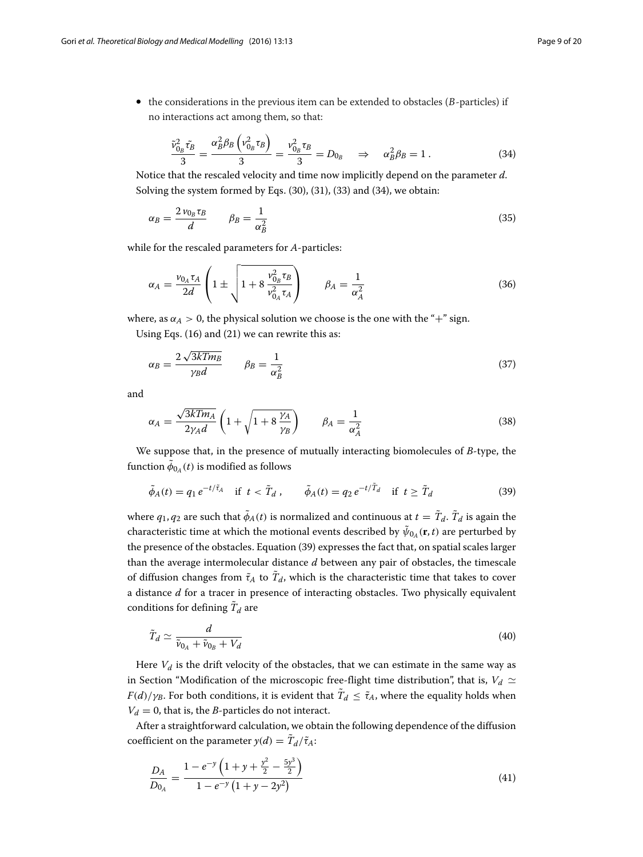$\bullet$  the considerations in the previous item can be extended to obstacles ( $B$ -particles) if no interactions act among them, so that:

<span id="page-8-0"></span>
$$
\frac{\tilde{\nu}_{0_B}^2 \tilde{\tau}_B}{3} = \frac{\alpha_B^2 \beta_B \left( \nu_{0_B}^2 \tau_B \right)}{3} = \frac{\nu_{0_B}^2 \tau_B}{3} = D_{0_B} \quad \Rightarrow \quad \alpha_B^2 \beta_B = 1. \tag{34}
$$

Notice that the rescaled velocity and time now implicitly depend on the parameter *d*. Solving the system formed by Eqs. [\(30\)](#page-7-1), [\(31\)](#page-7-2), [\(33\)](#page-7-3) and [\(34\)](#page-8-0), we obtain:

$$
\alpha_B = \frac{2\,\nu_{0_B}\tau_B}{d} \qquad \beta_B = \frac{1}{\alpha_B^2} \tag{35}
$$

while for the rescaled parameters for *A*-particles:

$$
\alpha_A = \frac{\nu_{0_A} \tau_A}{2d} \left( 1 \pm \sqrt{1 + 8 \frac{\nu_{0_B}^2 \tau_B}{\nu_{0_A}^2 \tau_A}} \right) \qquad \beta_A = \frac{1}{\alpha_A^2} \tag{36}
$$

where, as  $\alpha_A > 0$ , the physical solution we choose is the one with the "+" sign.

Using Eqs. [\(16\)](#page-4-0) and [\(21\)](#page-5-5) we can rewrite this as:

$$
\alpha_B = \frac{2\sqrt{3kTm_B}}{\gamma_B d} \qquad \beta_B = \frac{1}{\alpha_B^2} \tag{37}
$$

<span id="page-8-3"></span>and

$$
\alpha_A = \frac{\sqrt{3kTm_A}}{2\gamma_A d} \left( 1 + \sqrt{1 + 8\frac{\gamma_A}{\gamma_B}} \right) \qquad \beta_A = \frac{1}{\alpha_A^2} \tag{38}
$$

We suppose that, in the presence of mutually interacting biomolecules of *B*-type, the function  $\tilde{\phi}_{0_A}(t)$  is modified as follows

<span id="page-8-1"></span>
$$
\tilde{\phi}_A(t) = q_1 e^{-t/\tilde{\tau}_A} \quad \text{if } t < \tilde{T}_d \,, \qquad \tilde{\phi}_A(t) = q_2 e^{-t/\tilde{T}_d} \quad \text{if } t \ge \tilde{T}_d \tag{39}
$$

where  $q_1, q_2$  are such that  $\tilde{\phi}_A(t)$  is normalized and continuous at  $t = \tilde{T}_d$ .  $\tilde{T}_d$  is again the characteristic time at which the motional events described by  $\tilde{\psi}_{0}$ <sub>4</sub> (**r**, *t*) are perturbed by the presence of the obstacles. Equation [\(39\)](#page-8-1) expresses the fact that, on spatial scales larger than the average intermolecular distance *d* between any pair of obstacles, the timescale of diffusion changes from  $\tilde{\tau}_A$  to  $\tilde{T}_d$ , which is the characteristic time that takes to cover a distance *d* for a tracer in presence of interacting obstacles. Two physically equivalent conditions for defining  $\tilde{T}_d$  are

<span id="page-8-2"></span>
$$
\tilde{T}_d \simeq \frac{d}{\tilde{\nu}_{0_A} + \tilde{\nu}_{0_B} + V_d} \tag{40}
$$

Here  $V_d$  is the drift velocity of the obstacles, that we can estimate in the same way as in Section ["Modification of the microscopic free-flight time distribution"](#page-4-2), that is,  $V_d \simeq$ *F*(*d*)/ $\gamma_B$ . For both conditions, it is evident that  $\tilde{T}_d \leq \tilde{\tau}_A$ , where the equality holds when  $V_d = 0$ , that is, the *B*-particles do not interact.

After a straightforward calculation, we obtain the following dependence of the diffusion coefficient on the parameter  $y(d) = \tilde{T}_d/\tilde{\tau}_A$ :

<span id="page-8-4"></span>
$$
\frac{D_A}{D_{0_A}} = \frac{1 - e^{-y} \left( 1 + y + \frac{y^2}{2} - \frac{5y^3}{2} \right)}{1 - e^{-y} \left( 1 + y - 2y^2 \right)}
$$
(41)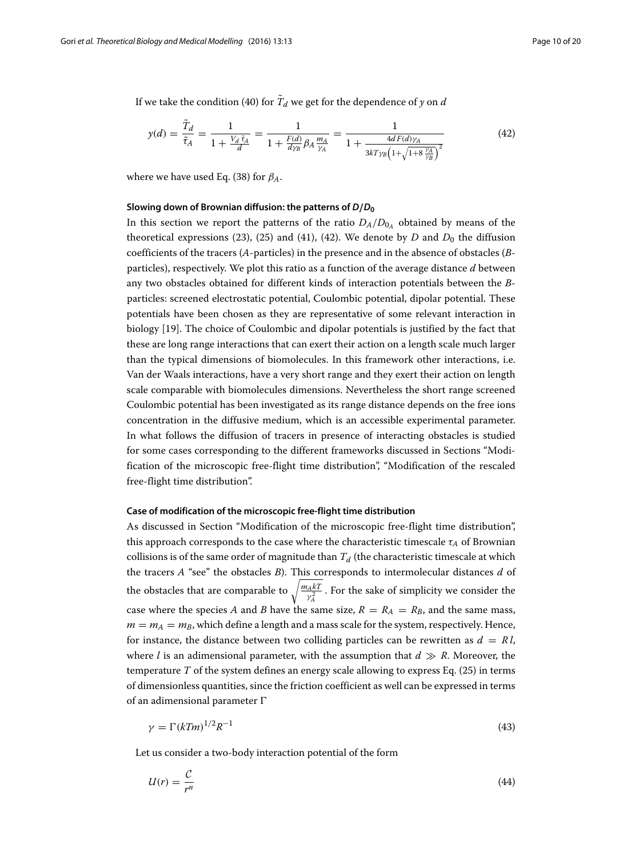If we take the condition [\(40\)](#page-8-2) for  $T_d$  we get for the dependence of *y* on *d* 

<span id="page-9-0"></span>
$$
y(d) = \frac{T_d}{\tilde{\tau}_A} = \frac{1}{1 + \frac{V_d \tilde{\tau}_A}{d}} = \frac{1}{1 + \frac{F(d)}{d\gamma_B} \beta_A \frac{m_A}{\gamma_A}} = \frac{1}{1 + \frac{4dF(d)\gamma_A}{3kT\gamma_B \left(1 + \sqrt{1 + 8\frac{\gamma_A}{\gamma_B}}\right)^2}}
$$
(42)

where we have used Eq. [\(38\)](#page-8-3) for  $\beta_A$ .

#### **Slowing down of Brownian diffusion: the patterns of** *D/D***<sup>0</sup>**

In this section we report the patterns of the ratio  $D_A/D_{0_A}$  obtained by means of the theoretical expressions [\(23\)](#page-5-2), [\(25\)](#page-5-4) and [\(41\)](#page-8-4), [\(42\)](#page-9-0). We denote by  $D$  and  $D_0$  the diffusion coefficients of the tracers (*A*-particles) in the presence and in the absence of obstacles (*B*particles), respectively. We plot this ratio as a function of the average distance *d* between any two obstacles obtained for different kinds of interaction potentials between the *B*particles: screened electrostatic potential, Coulombic potential, dipolar potential. These potentials have been chosen as they are representative of some relevant interaction in biology [\[19\]](#page-19-5). The choice of Coulombic and dipolar potentials is justified by the fact that these are long range interactions that can exert their action on a length scale much larger than the typical dimensions of biomolecules. In this framework other interactions, i.e. Van der Waals interactions, have a very short range and they exert their action on length scale comparable with biomolecules dimensions. Nevertheless the short range screened Coulombic potential has been investigated as its range distance depends on the free ions concentration in the diffusive medium, which is an accessible experimental parameter. In what follows the diffusion of tracers in presence of interacting obstacles is studied for some cases corresponding to the different frameworks discussed in Sections ["Modi](#page-4-3)[fication of the microscopic free-flight time distribution"](#page-4-3), ["Modification of the rescaled](#page-7-4) [free-flight time distribution"](#page-7-4).

#### **Case of modification of the microscopic free-flight time distribution**

As discussed in Section ["Modification of the microscopic free-flight time distribution"](#page-4-2), this approach corresponds to the case where the characteristic timescale  $\tau_A$  of Brownian collisions is of the same order of magnitude than  $T<sub>d</sub>$  (the characteristic timescale at which the tracers *A* "see" the obstacles *B*). This corresponds to intermolecular distances *d* of the obstacles that are comparable to  $\sqrt{\frac{m_A kT}{\gamma_A^2}}$ . For the sake of simplicity we consider the case where the species *A* and *B* have the same size,  $R = R_A = R_B$ , and the same mass,  $m = m_A = m_B$ , which define a length and a mass scale for the system, respectively. Hence, for instance, the distance between two colliding particles can be rewritten as  $d = R l$ , where *l* is an adimensional parameter, with the assumption that  $d \gg R$ . Moreover, the temperature *T* of the system defines an energy scale allowing to express Eq. [\(25\)](#page-5-4) in terms of dimensionless quantities, since the friction coefficient as well can be expressed in terms of an adimensional parameter  $\Gamma$ 

$$
\gamma = \Gamma (kTm)^{1/2} R^{-1} \tag{43}
$$

Let us consider a two-body interaction potential of the form

$$
U(r) = \frac{\mathcal{C}}{r^n} \tag{44}
$$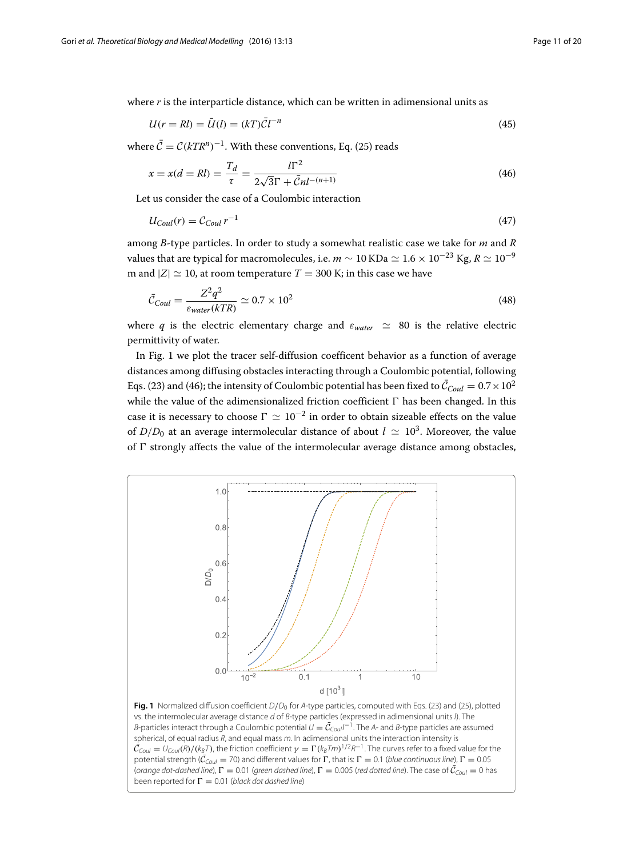where *r* is the interparticle distance, which can be written in adimensional units as

<span id="page-10-1"></span>
$$
U(r = Rl) = \bar{U}(l) = (kT)\bar{C}l^{-n}
$$
\n
$$
(45)
$$

where  $\bar{C} = C(kTR^n)^{-1}$ . With these conventions, Eq. [\(25\)](#page-5-4) reads

$$
x = x(d = Rl) = \frac{T_d}{\tau} = \frac{l\Gamma^2}{2\sqrt{3}\Gamma + \bar{C}nl^{-(n+1)}}
$$
(46)

Let us consider the case of a Coulombic interaction

$$
U_{Coul}(r) = C_{Coul} r^{-1}
$$
\n<sup>(47)</sup>

among *B*-type particles. In order to study a somewhat realistic case we take for *m* and *R* values that are typical for macromolecules, i.e.  $m \sim 10$  KDa  $\simeq 1.6 \times 10^{-23}$  Kg,  $R \simeq 10^{-9}$ m and  $|Z| \approx 10$ , at room temperature  $T = 300$  K; in this case we have

$$
\bar{C}_{Coul} = \frac{Z^2 q^2}{\varepsilon_{water}(kTR)} \simeq 0.7 \times 10^2 \tag{48}
$$

where *q* is the electric elementary charge and  $\varepsilon_{water} \approx 80$  is the relative electric permittivity of water.

In Fig. [1](#page-10-0) we plot the tracer self-diffusion coefficent behavior as a function of average distances among diffusing obstacles interacting through a Coulombic potential, following Eqs. [\(23\)](#page-5-2) and [\(46\)](#page-10-1); the intensity of Coulombic potential has been fixed to  $\bar{\mathcal{C}}_{Coul} = 0.7 \times 10^2$ while the value of the adimensionalized friction coefficient  $\Gamma$  has been changed. In this case it is necessary to choose  $\Gamma \simeq 10^{-2}$  in order to obtain sizeable effects on the value of  $D/D_0$  at an average intermolecular distance of about  $l \approx 10^3$ . Moreover, the value of  $\Gamma$  strongly affects the value of the intermolecular average distance among obstacles,



<span id="page-10-0"></span>Fig. 1 Normalized diffusion coefficient  $D/D_0$  for A-type particles, computed with Eqs. [\(23\)](#page-5-2) and [\(25\)](#page-5-4), plotted vs. the intermolecular average distance d of B-type particles (expressed in adimensional units I). The *B*-particles interact through a Coulombic potential  $U = \bar{\mathcal{C}}_{Coul}l^{-1}$ . The A- and *B*-type particles are assumed spherical, of equal radius  $R$ , and equal mass  $m$ . In adimensional units the interaction intensity is  $\bar{\mathcal{C}}_{Coul} = U_{Coul}(R)/(k_B T)$ , the friction coefficient  $\gamma=\Gamma(k_B Tm)^{1/2}R^{-1}$ . The curves refer to a fixed value for the potential strength ( $C_{Coul}$  = 70) and different values for  $\Gamma$ , that is:  $\Gamma = 0.1$  (blue continuous line),  $\Gamma = 0.05$ (orange dot-dashed line),  $\Gamma = 0.01$  (green dashed line),  $\Gamma = 0.005$  (red dotted line). The case of  $\mathcal{C}_{Coul} = 0$  has been reported for  $\Gamma = 0.01$  (black dot dashed line)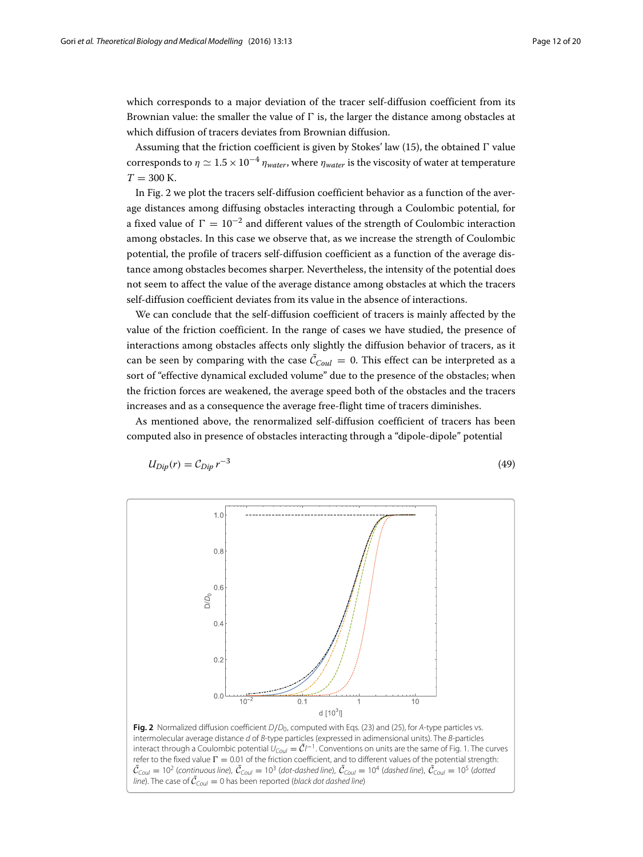which corresponds to a major deviation of the tracer self-diffusion coefficient from its Brownian value: the smaller the value of  $\Gamma$  is, the larger the distance among obstacles at which diffusion of tracers deviates from Brownian diffusion.

Assuming that the friction coefficient is given by Stokes' law  $(15)$ , the obtained  $\Gamma$  value corresponds to  $\eta \simeq 1.5 \times 10^{-4}$   $\eta_{water}$ , where  $\eta_{water}$  is the viscosity of water at temperature  $T = 300$  K.

In Fig. [2](#page-11-0) we plot the tracers self-diffusion coefficient behavior as a function of the average distances among diffusing obstacles interacting through a Coulombic potential, for a fixed value of  $\Gamma = 10^{-2}$  and different values of the strength of Coulombic interaction among obstacles. In this case we observe that, as we increase the strength of Coulombic potential, the profile of tracers self-diffusion coefficient as a function of the average distance among obstacles becomes sharper. Nevertheless, the intensity of the potential does not seem to affect the value of the average distance among obstacles at which the tracers self-diffusion coefficient deviates from its value in the absence of interactions.

We can conclude that the self-diffusion coefficient of tracers is mainly affected by the value of the friction coefficient. In the range of cases we have studied, the presence of interactions among obstacles affects only slightly the diffusion behavior of tracers, as it can be seen by comparing with the case  $\mathcal{C}_{Coul} = 0$ . This effect can be interpreted as a sort of "effective dynamical excluded volume" due to the presence of the obstacles; when the friction forces are weakened, the average speed both of the obstacles and the tracers increases and as a consequence the average free-flight time of tracers diminishes.

As mentioned above, the renormalized self-diffusion coefficient of tracers has been computed also in presence of obstacles interacting through a "dipole-dipole" potential

$$
U_{Dip}(r) = C_{Dip} r^{-3}
$$
\n<sup>(49)</sup>



<span id="page-11-0"></span>*line*). The case of  $\mathcal{C}_{Coul} = 0$  has been reported (*black dot dashed line*)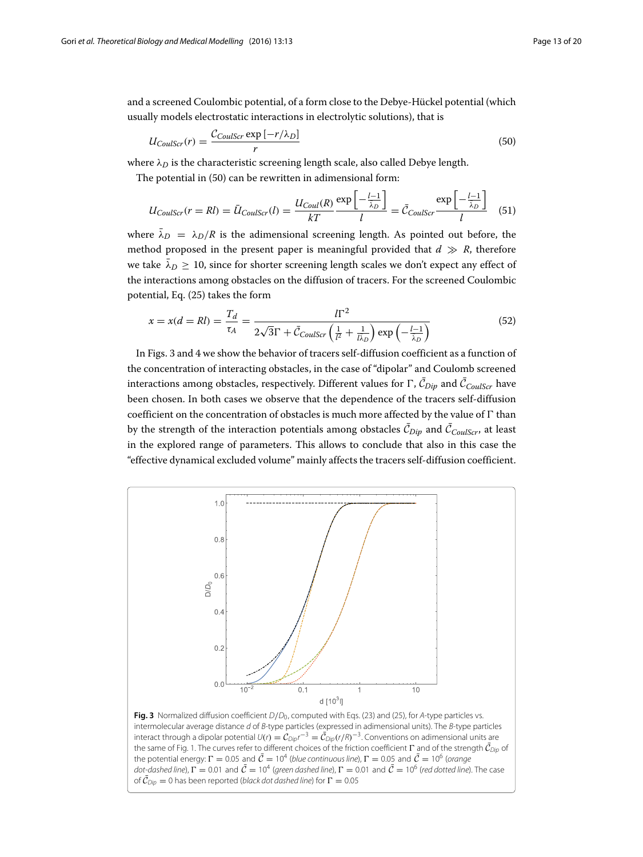and a screened Coulombic potential, of a form close to the Debye-Hückel potential (which usually models electrostatic interactions in electrolytic solutions), that is

<span id="page-12-0"></span>
$$
U_{CoulScr}(r) = \frac{C_{CoulScr} \exp\left[-r/\lambda_D\right]}{r} \tag{50}
$$

where  $\lambda_D$  is the characteristic screening length scale, also called Debye length.

The potential in [\(50\)](#page-12-0) can be rewritten in adimensional form:

$$
U_{CoulScr}(r = Rl) = \bar{U}_{CoulScr}(l) = \frac{U_{Coul}(R)}{kT} \frac{\exp\left[-\frac{l-1}{\bar{\lambda}_D}\right]}{l} = \bar{C}_{CoulScr} \frac{\exp\left[-\frac{l-1}{\bar{\lambda}_D}\right]}{l} \quad (51)
$$

where  $\bar{\lambda}_D = \lambda_D/R$  is the adimensional screening length. As pointed out before, the method proposed in the present paper is meaningful provided that  $d \gg R$ , therefore we take  $\bar{\lambda}_D > 10$ , since for shorter screening length scales we don't expect any effect of the interactions among obstacles on the diffusion of tracers. For the screened Coulombic potential, Eq. [\(25\)](#page-5-4) takes the form

$$
x = x(d = Rl) = \frac{T_d}{\tau_A} = \frac{l\Gamma^2}{2\sqrt{3}\Gamma + \bar{C}_{CoulScr} \left(\frac{1}{l^2} + \frac{1}{l\lambda_D}\right) \exp\left(-\frac{l-1}{\lambda_D}\right)}
$$
(52)

In Figs. [3](#page-12-1) and [4](#page-13-0) we show the behavior of tracers self-diffusion coefficient as a function of the concentration of interacting obstacles, in the case of "dipolar" and Coulomb screened interactions among obstacles, respectively. Different values for  $\Gamma$  ,  $\mathcal{C}_{Dip}$  and  $\mathcal{C}_{CoulScr}$  have been chosen. In both cases we observe that the dependence of the tracers self-diffusion coefficient on the concentration of obstacles is much more affected by the value of  $\Gamma$  than by the strength of the interaction potentials among obstacles  $\mathcal{C}_{Dip}$  and  $\mathcal{C}_{CoulScr}$ , at least in the explored range of parameters. This allows to conclude that also in this case the "effective dynamical excluded volume" mainly affects the tracers self-diffusion coefficient.



<span id="page-12-1"></span>interact through a dipolar potential  $U(r) = C_{Dip}r^{-3} = \bar{C}_{Dip}(r/R)^{-3}$ . Conventions on adimensional units are the same of Fig. [1.](#page-10-0) The curves refer to different choices of the friction coefficient  $\Gamma$  and of the strength  $\mathcal{C}_{Dip}$  of the potential energy:  $\Gamma = 0.05$  and  $\bar{C} = 10^4$  (blue continuous line),  $\Gamma = 0.05$  and  $\bar{C} = 10^6$  (orange dot-dashed line),  $\Gamma = 0.01$  and  $\bar{C} = 10^4$  (green dashed line),  $\Gamma = 0.01$  and  $\bar{C} = 10^6$  (red dotted line). The case of  $\mathcal{C}_{\text{Dip}} = 0$  has been reported (black dot dashed line) for  $\Gamma = 0.05$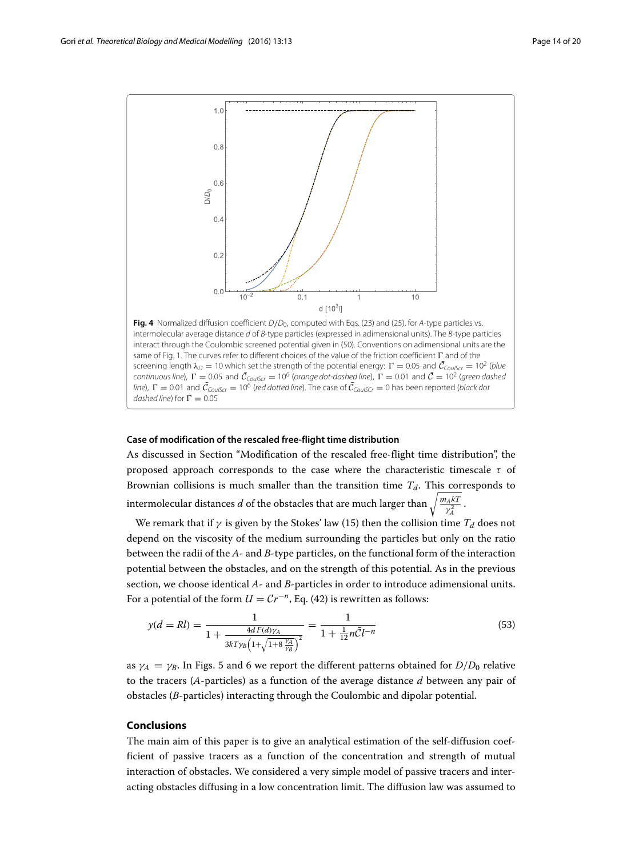

<span id="page-13-0"></span>intermolecular average distance d of B-type particles (expressed in adimensional units). The B-type particles interact through the Coulombic screened potential given in [\(50\)](#page-12-0). Conventions on adimensional units are the same of Fig. [1.](#page-10-0) The curves refer to different choices of the value of the friction coefficient  $\Gamma$  and of the screening length  $\lambda_D = 10$  which set the strength of the potential energy:  $\Gamma = 0.05$  and  $\bar{C}_{CoulS} = 10^2$  (blue continuous line),  $\Gamma = 0.05$  and  $\bar{\mathcal{C}}_{CoulScr} = 10^6$  (orange dot-dashed line),  $\Gamma = 0.01$  and  $\bar{\mathcal{C}} = 10^2$  (green dashed *line*),  $\Gamma = 0.01$  and  $\bar{C}_{CoulScr} = 10^6$  (red dotted line). The case of  $\bar{C}_{CoulScr} = 0$  has been reported (black dot dashed line) for  $\Gamma = 0.05$ 

#### **Case of modification of the rescaled free-flight time distribution**

As discussed in Section ["Modification of the rescaled free-flight time distribution"](#page-7-5), the proposed approach corresponds to the case where the characteristic timescale  $\tau$  of Brownian collisions is much smaller than the transition time  $T_d$ . This corresponds to intermolecular distances *d* of the obstacles that are much larger than  $\sqrt{\frac{m_A kT}{\gamma_A^2}}$  .

We remark that if  $\gamma$  is given by the Stokes' law [\(15\)](#page-3-3) then the collision time  $T_d$  does not depend on the viscosity of the medium surrounding the particles but only on the ratio between the radii of the *A*- and *B*-type particles, on the functional form of the interaction potential between the obstacles, and on the strength of this potential. As in the previous section, we choose identical *A*- and *B*-particles in order to introduce adimensional units. For a potential of the form  $U = Cr^{-n}$ , Eq. [\(42\)](#page-9-0) is rewritten as follows:

$$
y(d = Rl) = \frac{1}{1 + \frac{4dF(d)\gamma_A}{3kT\gamma_B\left(1 + \sqrt{1 + 8\frac{\gamma_A}{\gamma_B}}\right)^2}} = \frac{1}{1 + \frac{1}{12}n\bar{C}l^{-n}}
$$
(53)

as  $\gamma_A = \gamma_B$ . In Figs. [5](#page-14-0) and [6](#page-14-1) we report the different patterns obtained for  $D/D_0$  relative to the tracers (*A*-particles) as a function of the average distance *d* between any pair of obstacles (*B*-particles) interacting through the Coulombic and dipolar potential.

#### **Conclusions**

The main aim of this paper is to give an analytical estimation of the self-diffusion coefficient of passive tracers as a function of the concentration and strength of mutual interaction of obstacles. We considered a very simple model of passive tracers and interacting obstacles diffusing in a low concentration limit. The diffusion law was assumed to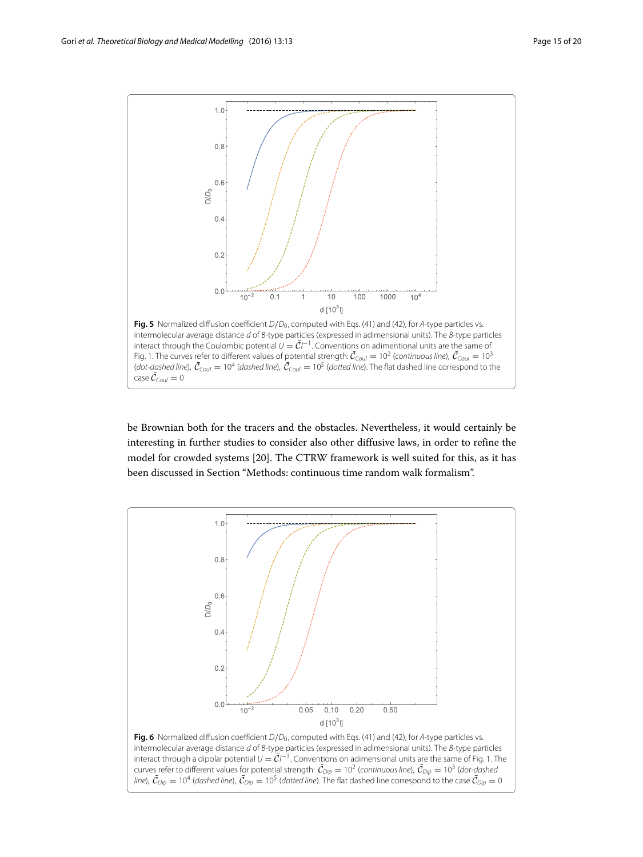

<span id="page-14-0"></span>be Brownian both for the tracers and the obstacles. Nevertheless, it would certainly be interesting in further studies to consider also other diffusive laws, in order to refine the model for crowded systems [\[20\]](#page-19-6). The CTRW framework is well suited for this, as it has been discussed in Section ["Methods: continuous time random walk formalism"](#page-1-0).



<span id="page-14-1"></span>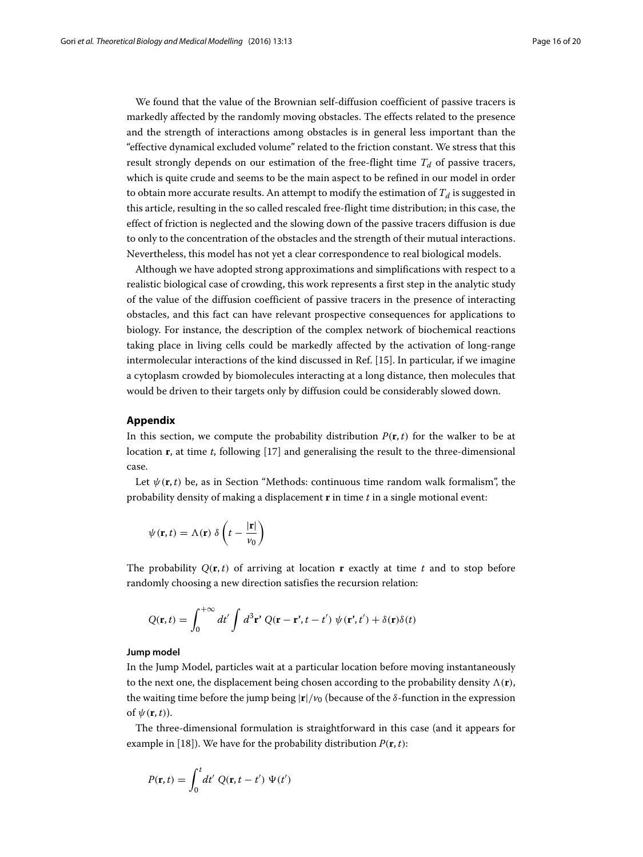We found that the value of the Brownian self-diffusion coefficient of passive tracers is markedly affected by the randomly moving obstacles. The effects related to the presence and the strength of interactions among obstacles is in general less important than the "effective dynamical excluded volume" related to the friction constant. We stress that this result strongly depends on our estimation of the free-flight time  $T_d$  of passive tracers, which is quite crude and seems to be the main aspect to be refined in our model in order to obtain more accurate results. An attempt to modify the estimation of  $T_d$  is suggested in this article, resulting in the so called rescaled free-flight time distribution; in this case, the effect of friction is neglected and the slowing down of the passive tracers diffusion is due to only to the concentration of the obstacles and the strength of their mutual interactions. Nevertheless, this model has not yet a clear correspondence to real biological models.

Although we have adopted strong approximations and simplifications with respect to a realistic biological case of crowding, this work represents a first step in the analytic study of the value of the diffusion coefficient of passive tracers in the presence of interacting obstacles, and this fact can have relevant prospective consequences for applications to biology. For instance, the description of the complex network of biochemical reactions taking place in living cells could be markedly affected by the activation of long-range intermolecular interactions of the kind discussed in Ref. [\[15\]](#page-19-7). In particular, if we imagine a cytoplasm crowded by biomolecules interacting at a long distance, then molecules that would be driven to their targets only by diffusion could be considerably slowed down.

# <span id="page-15-0"></span>**Appendix**

In this section, we compute the probability distribution  $P(\mathbf{r}, t)$  for the walker to be at location **r**, at time *t*, following [\[17\]](#page-19-2) and generalising the result to the three-dimensional case.

Let  $\psi(\mathbf{r},t)$  be, as in Section ["Methods: continuous time random walk formalism"](#page-1-1), the probability density of making a displacement **r** in time *t* in a single motional event:

$$
\psi(\mathbf{r},t) = \Lambda(\mathbf{r}) \delta\left(t - \frac{|\mathbf{r}|}{v_0}\right)
$$

The probability  $Q(\mathbf{r}, t)$  of arriving at location **r** exactly at time *t* and to stop before randomly choosing a new direction satisfies the recursion relation:

$$
Q(\mathbf{r},t) = \int_0^{+\infty} dt' \int d^3 \mathbf{r}' Q(\mathbf{r}-\mathbf{r}',t-t') \psi(\mathbf{r}',t') + \delta(\mathbf{r})\delta(t)
$$

# **Jump model**

In the Jump Model, particles wait at a particular location before moving instantaneously to the next one, the displacement being chosen according to the probability density  $\Lambda(\mathbf{r})$ , the waiting time before the jump being  $|\mathbf{r}|/v_0$  (because of the  $\delta$ -function in the expression of  $\psi(\mathbf{r}, t)$ ).

The three-dimensional formulation is straightforward in this case (and it appears for example in [\[18\]](#page-19-3)). We have for the probability distribution  $P(\mathbf{r}, t)$ :

$$
P(\mathbf{r},t) = \int_0^t dt' \ Q(\mathbf{r},t-t') \ \Psi(t')
$$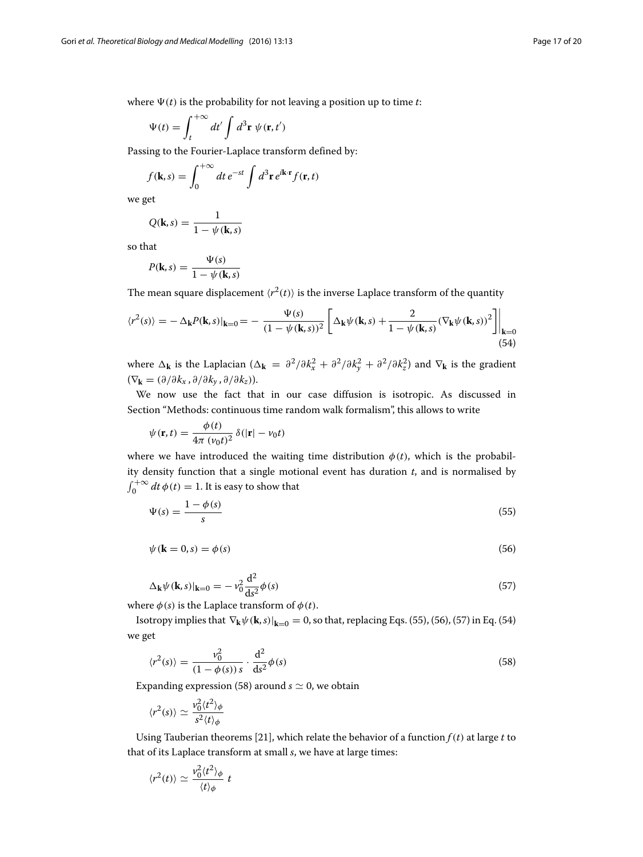where  $\Psi(t)$  is the probability for not leaving a position up to time *t*:

$$
\Psi(t) = \int_{t}^{+\infty} dt' \int d^{3} \mathbf{r} \, \psi(\mathbf{r}, t')
$$

Passing to the Fourier-Laplace transform defined by:

$$
f(\mathbf{k},s) = \int_0^{+\infty} dt \, e^{-st} \int d^3 \mathbf{r} \, e^{i\mathbf{k} \cdot \mathbf{r}} f(\mathbf{r},t)
$$

we get

$$
Q(\mathbf{k},s) = \frac{1}{1 - \psi(\mathbf{k},s)}
$$

so that

<span id="page-16-3"></span>
$$
P(\mathbf{k}, s) = \frac{\Psi(s)}{1 - \psi(\mathbf{k}, s)}
$$

The mean square displacement  $\langle r^2(t) \rangle$  is the inverse Laplace transform of the quantity

$$
\langle r^2(s) \rangle = -\Delta_{\mathbf{k}} P(\mathbf{k}, s)|_{\mathbf{k}=0} = -\frac{\Psi(s)}{(1 - \psi(\mathbf{k}, s))^2} \left[ \Delta_{\mathbf{k}} \psi(\mathbf{k}, s) + \frac{2}{1 - \psi(\mathbf{k}, s)} (\nabla_{\mathbf{k}} \psi(\mathbf{k}, s))^2 \right] \Big|_{\mathbf{k}=0}
$$
(54)

where  $\Delta_k$  is the Laplacian ( $\Delta_k = \frac{\partial^2}{\partial k_x^2} + \frac{\partial^2}{\partial k_y^2} + \frac{\partial^2}{\partial k_z^2}$ ) and  $\nabla_k$  is the gradient  $(\nabla_{\mathbf{k}} = (\partial/\partial k_x, \partial/\partial k_y, \partial/\partial k_z)).$ 

We now use the fact that in our case diffusion is isotropic. As discussed in Section ["Methods: continuous time random walk formalism"](#page-1-1), this allows to write

$$
\psi(\mathbf{r},t) = \frac{\phi(t)}{4\pi (\nu_0 t)^2} \delta(|\mathbf{r}| - \nu_0 t)
$$

where we have introduced the waiting time distribution  $\phi(t)$ , which is the probability density function that a single motional event has duration *t*, and is normalised by  $\int_0^{+\infty} dt \, \phi(t) = 1$ . It is easy to show that

<span id="page-16-0"></span>
$$
\Psi(s) = \frac{1 - \phi(s)}{s} \tag{55}
$$

<span id="page-16-1"></span>
$$
\psi(\mathbf{k} = 0, s) = \phi(s) \tag{56}
$$

<span id="page-16-2"></span>
$$
\Delta_{\mathbf{k}}\psi(\mathbf{k},s)|_{\mathbf{k}=0} = -\nu_0^2 \frac{\mathrm{d}^2}{\mathrm{d}s^2}\phi(s)
$$
\n(57)

where  $\phi(s)$  is the Laplace transform of  $\phi(t)$ .

Isotropy implies that  $\nabla_k \psi(\mathbf{k}, s)|_{\mathbf{k}=0} = 0$ , so that, replacing Eqs. [\(55\)](#page-16-0), [\(56\)](#page-16-1), [\(57\)](#page-16-2) in Eq. [\(54\)](#page-16-3) we get

<span id="page-16-4"></span>
$$
\langle r^2(s) \rangle = \frac{v_0^2}{(1 - \phi(s))s} \cdot \frac{d^2}{ds^2} \phi(s)
$$
 (58)

Expanding expression [\(58\)](#page-16-4) around  $s \simeq 0$ , we obtain

$$
\langle r^2(s)\rangle \simeq \frac{v_0^2 \langle t^2\rangle_{\phi}}{s^2 \langle t\rangle_{\phi}}
$$

Using Tauberian theorems [\[21\]](#page-19-8), which relate the behavior of a function  $f(t)$  at large *t* to that of its Laplace transform at small *s*, we have at large times:

$$
\langle r^2(t)\rangle \simeq \frac{v_0^2 \langle t^2 \rangle_{\phi}}{\langle t \rangle_{\phi}} t
$$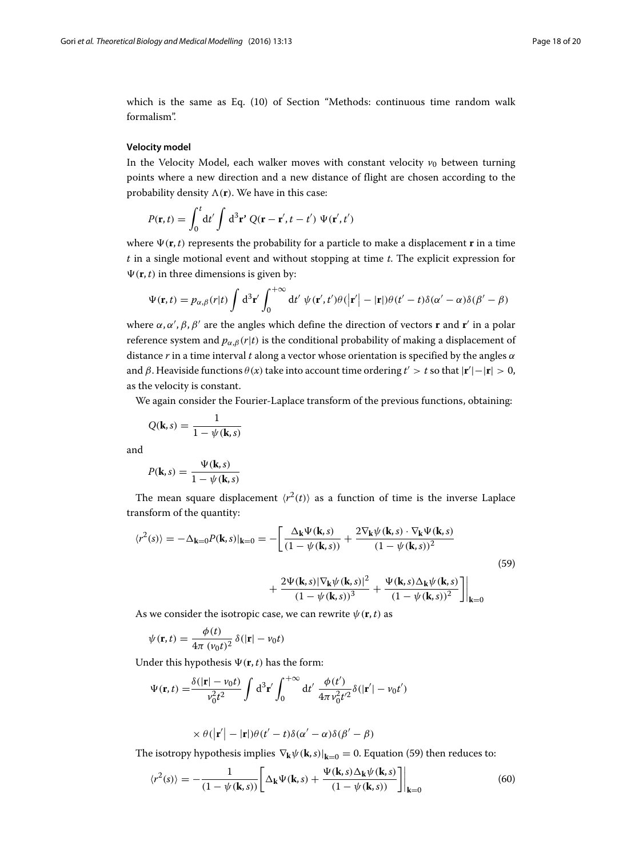which is the same as Eq. [\(10\)](#page-3-4) of Section ["Methods: continuous time random walk](#page-1-0) [formalism"](#page-1-0).

# **Velocity model**

In the Velocity Model, each walker moves with constant velocity  $v_0$  between turning points where a new direction and a new distance of flight are chosen according to the probability density  $\Lambda(\mathbf{r})$ . We have in this case:

$$
P(\mathbf{r},t) = \int_0^t dt' \int d^3 \mathbf{r}' Q(\mathbf{r} - \mathbf{r}',t - t') \Psi(\mathbf{r}',t')
$$

where  $\Psi(\mathbf{r}, t)$  represents the probability for a particle to make a displacement **r** in a time *t* in a single motional event and without stopping at time *t*. The explicit expression for  $\Psi(\mathbf{r}, t)$  in three dimensions is given by:

$$
\Psi(\mathbf{r},t) = p_{\alpha,\beta}(r|t) \int d^3 \mathbf{r}' \int_0^{+\infty} dt' \psi(\mathbf{r}',t')\theta(|\mathbf{r}'|-|\mathbf{r}|)\theta(t'-t)\delta(\alpha'-\alpha)\delta(\beta'-\beta)
$$

where α,α',β,β' are the angles which define the direction of vectors **r** and **r**' in a polar reference system and  $p_{\alpha,\beta}(r|t)$  is the conditional probability of making a displacement of distance *r* in a time interval *t* along a vector whose orientation is specified by the angles α and  $\beta$ . Heaviside functions  $\theta(x)$  take into account time ordering  $t' > t$  so that  $|\mathbf{r}'| - |\mathbf{r}| > 0$ , as the velocity is constant.

We again consider the Fourier-Laplace transform of the previous functions, obtaining:

$$
Q(\mathbf{k},s) = \frac{1}{1 - \psi(\mathbf{k},s)}
$$

and

<span id="page-17-0"></span>
$$
P(\mathbf{k},s) = \frac{\Psi(\mathbf{k},s)}{1 - \psi(\mathbf{k},s)}
$$

The mean square displacement  $\langle r^2(t) \rangle$  as a function of time is the inverse Laplace transform of the quantity:

$$
\langle r^{2}(s) \rangle = -\Delta_{\mathbf{k}=0} P(\mathbf{k}, s) \vert_{\mathbf{k}=0} = -\left[ \frac{\Delta_{\mathbf{k}} \Psi(\mathbf{k}, s)}{(1 - \psi(\mathbf{k}, s))} + \frac{2 \nabla_{\mathbf{k}} \psi(\mathbf{k}, s) \cdot \nabla_{\mathbf{k}} \Psi(\mathbf{k}, s)}{(1 - \psi(\mathbf{k}, s))^{2}} + \frac{2 \Psi(\mathbf{k}, s) \vert \nabla_{\mathbf{k}} \psi(\mathbf{k}, s) \vert^{2}}{(1 - \psi(\mathbf{k}, s))^{3}} + \frac{\Psi(\mathbf{k}, s) \Delta_{\mathbf{k}} \psi(\mathbf{k}, s)}{(1 - \psi(\mathbf{k}, s))^{2}} \right] \vert_{\mathbf{k}=0}
$$
\n(59)

As we consider the isotropic case, we can rewrite  $\psi(\mathbf{r}, t)$  as

$$
\psi(\mathbf{r},t) = \frac{\phi(t)}{4\pi (\nu_0 t)^2} \delta(|\mathbf{r}| - \nu_0 t)
$$

Under this hypothesis  $\Psi(\mathbf{r}, t)$  has the form:

$$
\Psi(\mathbf{r},t) = \frac{\delta(|\mathbf{r}| - \nu_0 t)}{\nu_0^2 t^2} \int d^3 \mathbf{r}' \int_0^{+\infty} dt' \frac{\phi(t')}{4\pi \nu_0^2 t'^2} \delta(|\mathbf{r}'| - \nu_0 t')
$$

<span id="page-17-1"></span>
$$
\times \theta(|\mathbf{r}'| - |\mathbf{r}|)\theta(t'-t)\delta(\alpha'-\alpha)\delta(\beta'-\beta)
$$

The isotropy hypothesis implies  $\nabla_{\mathbf{k}} \psi(\mathbf{k},s)|_{\mathbf{k}=0} = 0$ . Equation [\(59\)](#page-17-0) then reduces to:

$$
\langle r^2(s) \rangle = -\frac{1}{(1 - \psi(\mathbf{k}, s))} \left[ \Delta_\mathbf{k} \Psi(\mathbf{k}, s) + \frac{\Psi(\mathbf{k}, s) \Delta_\mathbf{k} \psi(\mathbf{k}, s)}{(1 - \psi(\mathbf{k}, s))} \right] \Big|_{\mathbf{k} = 0} \tag{60}
$$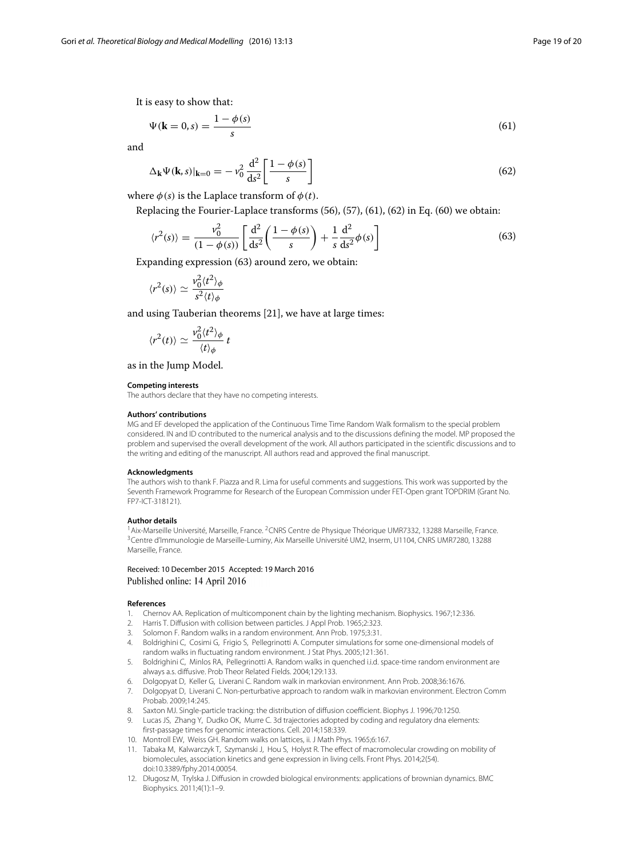It is easy to show that:

<span id="page-18-10"></span>
$$
\Psi(\mathbf{k}=0,s) = \frac{1-\phi(s)}{s} \tag{61}
$$

and

<span id="page-18-11"></span>
$$
\Delta_{\mathbf{k}}\Psi(\mathbf{k},s)|_{\mathbf{k}=0} = -\nu_0^2 \frac{\mathrm{d}^2}{\mathrm{d}s^2} \left[ \frac{1-\phi(s)}{s} \right] \tag{62}
$$

where  $\phi(s)$  is the Laplace transform of  $\phi(t)$ .

Replacing the Fourier-Laplace transforms [\(56\)](#page-16-1), [\(57\)](#page-16-2), [\(61\)](#page-18-10), [\(62\)](#page-18-11) in Eq. [\(60\)](#page-17-1) we obtain:

<span id="page-18-12"></span>
$$
\langle r^2(s) \rangle = \frac{v_0^2}{(1 - \phi(s))} \left[ \frac{d^2}{ds^2} \left( \frac{1 - \phi(s)}{s} \right) + \frac{1}{s} \frac{d^2}{ds^2} \phi(s) \right]
$$
(63)

Expanding expression [\(63\)](#page-18-12) around zero, we obtain:

$$
\langle r^2(s)\rangle \simeq \frac{v_0^2 \langle t^2\rangle_{\phi}}{s^2 \langle t\rangle_{\phi}}
$$

and using Tauberian theorems [\[21\]](#page-19-8), we have at large times:

$$
\langle r^2(t)\rangle \simeq \frac{v_0^2 \langle t^2 \rangle_{\phi}}{\langle t \rangle_{\phi}} t
$$

as in the Jump Model.

#### **Competing interests**

The authors declare that they have no competing interests.

#### **Authors' contributions**

MG and EF developed the application of the Continuous Time Time Random Walk formalism to the special problem considered. IN and ID contributed to the numerical analysis and to the discussions defining the model. MP proposed the problem and supervised the overall development of the work. All authors participated in the scientific discussions and to the writing and editing of the manuscript. All authors read and approved the final manuscript.

#### **Acknowledgments**

The authors wish to thank F. Piazza and R. Lima for useful comments and suggestions. This work was supported by the Seventh Framework Programme for Research of the European Commission under FET-Open grant TOPDRIM (Grant No. FP7-ICT-318121).

#### **Author details**

<sup>1</sup> Aix-Marseille Université, Marseille, France. <sup>2</sup>CNRS Centre de Physique Théorique UMR7332, 13288 Marseille, France. 3Centre d'Immunologie de Marseille-Luminy, Aix Marseille Université UM2, Inserm, U1104, CNRS UMR7280, 13288 Marseille, France.

# Received: 10 December 2015 Accepted: 19 March 2016 Published online: 14 April 2016

#### **References**

- <span id="page-18-0"></span>1. Chernov AA. Replication of multicomponent chain by the lighting mechanism. Biophysics. 1967;12:336.
- <span id="page-18-1"></span>2. Harris T. Diffusion with collision between particles. J Appl Prob. 1965;2:323.
- <span id="page-18-2"></span>3. Solomon F. Random walks in a random environment. Ann Prob. 1975;3:31.
- <span id="page-18-3"></span>4. Boldrighini C, Cosimi G, Frigio S, Pellegrinotti A. Computer simulations for some one-dimensional models of random walks in fluctuating random environment. J Stat Phys. 2005;121:361.
- 5. Boldrighini C, Minlos RA, Pellegrinotti A. Random walks in quenched i.i.d. space-time random environment are always a.s. diffusive. Prob Theor Related Fields. 2004;129:133.
- 6. Dolgopyat D, Keller G, Liverani C. Random walk in markovian environment. Ann Prob. 2008;36:1676.
- <span id="page-18-4"></span>7. Dolgopyat D, Liverani C. Non-perturbative approach to random walk in markovian environment. Electron Comm Probab. 2009;14:245.
- <span id="page-18-5"></span>8. Saxton MJ. Single-particle tracking: the distribution of diffusion coefficient. Biophys J. 1996;70:1250.
- <span id="page-18-6"></span>9. Lucas JS, Zhang Y, Dudko OK, Murre C. 3d trajectories adopted by coding and regulatory dna elements: first-passage times for genomic interactions. Cell. 2014;158:339.
- <span id="page-18-7"></span>10. Montroll EW, Weiss GH. Random walks on lattices, ii. J Math Phys. 1965;6:167.
- <span id="page-18-8"></span>11. Tabaka M, Kalwarczyk T, Szymanski J, Hou S, Holyst R. The effect of macromolecular crowding on mobility of biomolecules, association kinetics and gene expression in living cells. Front Phys. 2014;2(54). do[i:10.3389/fphy.2014.00054.](http://dx.doi.org/10.3389/fphy.2014.00054)
- <span id="page-18-9"></span>12. Długosz M, Trylska J. Diffusion in crowded biological environments: applications of brownian dynamics. BMC Biophysics. 2011;4(1):1–9.